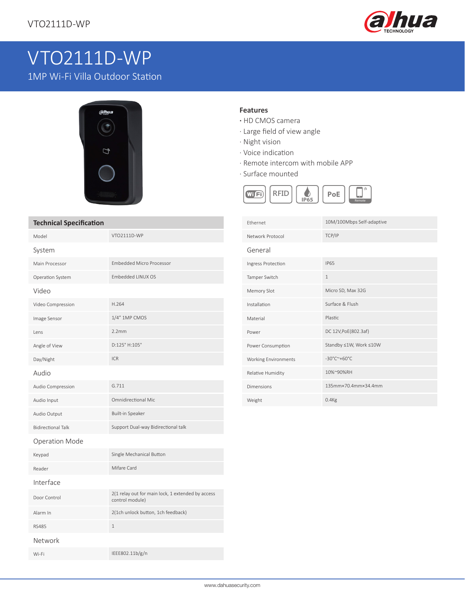

# VTO2111D-WP

1MP Wi-Fi Villa Outdoor Station



## **Technical Specification**

| Model                     | VTO2111D-WP                                                          |
|---------------------------|----------------------------------------------------------------------|
| System                    |                                                                      |
| Main Processor            | <b>Embedded Micro Processor</b>                                      |
| Operation System          | Embedded LINUX OS                                                    |
| Video                     |                                                                      |
| Video Compression         | H.264                                                                |
| Image Sensor              | 1/4" 1MP CMOS                                                        |
| Lens                      | 2.2mm                                                                |
| Angle of View             | D:125° H:105°                                                        |
| Day/Night                 | <b>ICR</b>                                                           |
| Audio                     |                                                                      |
| Audio Compression         | G.711                                                                |
| Audio Input               | <b>Omnidirectional Mic</b>                                           |
| Audio Output              | <b>Built-in Speaker</b>                                              |
| <b>Bidirectional Talk</b> | Support Dual-way Bidirectional talk                                  |
| <b>Operation Mode</b>     |                                                                      |
| Keypad                    | Single Mechanical Button                                             |
| Reader                    | Mifare Card                                                          |
| Interface                 |                                                                      |
| Door Control              | 2(1 relay out for main lock, 1 extended by access<br>control module) |
| Alarm In                  | 2(1ch unlock button, 1ch feedback)                                   |
| <b>RS485</b>              | 1                                                                    |
| Network                   |                                                                      |
| Wi-Fi                     | IEEE802.11b/g/n                                                      |

### **Features**

- **·** HD CMOS camera
- · Large field of view angle
- · Night vision
- · Voice indication
- · Remote intercom with mobile APP
- · Surface mounted



| <b>Fthernet</b>      | 10M/100Mbps Self-adaptive                  |
|----------------------|--------------------------------------------|
| Network Protocol     | TCP/IP                                     |
| General              |                                            |
| Ingress Protection   | <b>IP65</b>                                |
| Tamper Switch        | $\mathbf{1}$                               |
| Memory Slot          | Micro SD, Max 32G                          |
| Installation         | Surface & Flush                            |
| Material             | Plastic.                                   |
| Power                | DC 12V, PoE(802.3af)                       |
| Power Consumption    | Standby ≤1W, Work ≤10W                     |
| Working Environments | $-30^{\circ}$ C $^{\sim}$ +60 $^{\circ}$ C |
| Relative Humidity    | 10%~90%RH                                  |
| Dimensions           | 135mm×70.4mm×34.4mm                        |
| Weight               | $0.4$ Kg                                   |